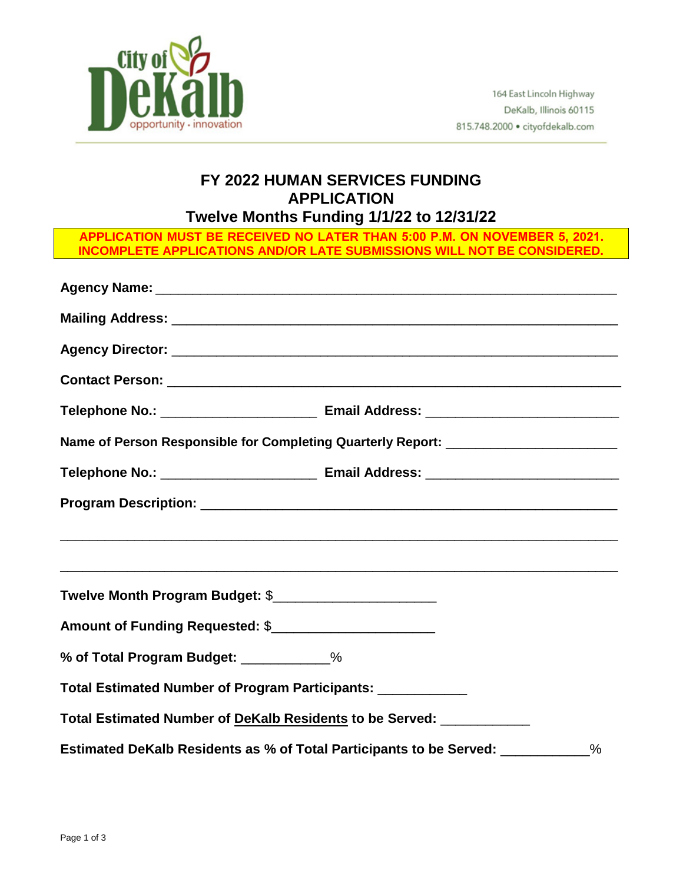

## **FY 2022 HUMAN SERVICES FUNDING APPLICATION Twelve Months Funding 1/1/22 to 12/31/22**

**APPLICATION MUST BE RECEIVED NO LATER THAN 5:00 P.M. ON NOVEMBER 5, 2021. INCOMPLETE APPLICATIONS AND/OR LATE SUBMISSIONS WILL NOT BE CONSIDERED.** 

| Name of Person Responsible for Completing Quarterly Report: ____________________ |  |      |  |  |  |  |
|----------------------------------------------------------------------------------|--|------|--|--|--|--|
|                                                                                  |  |      |  |  |  |  |
|                                                                                  |  |      |  |  |  |  |
|                                                                                  |  |      |  |  |  |  |
|                                                                                  |  |      |  |  |  |  |
|                                                                                  |  |      |  |  |  |  |
| % of Total Program Budget: ___________%                                          |  |      |  |  |  |  |
| Total Estimated Number of Program Participants: ___________                      |  |      |  |  |  |  |
| Total Estimated Number of DeKalb Residents to be Served: ___________             |  |      |  |  |  |  |
| Estimated DeKalb Residents as % of Total Participants to be Served: ___________  |  | $\%$ |  |  |  |  |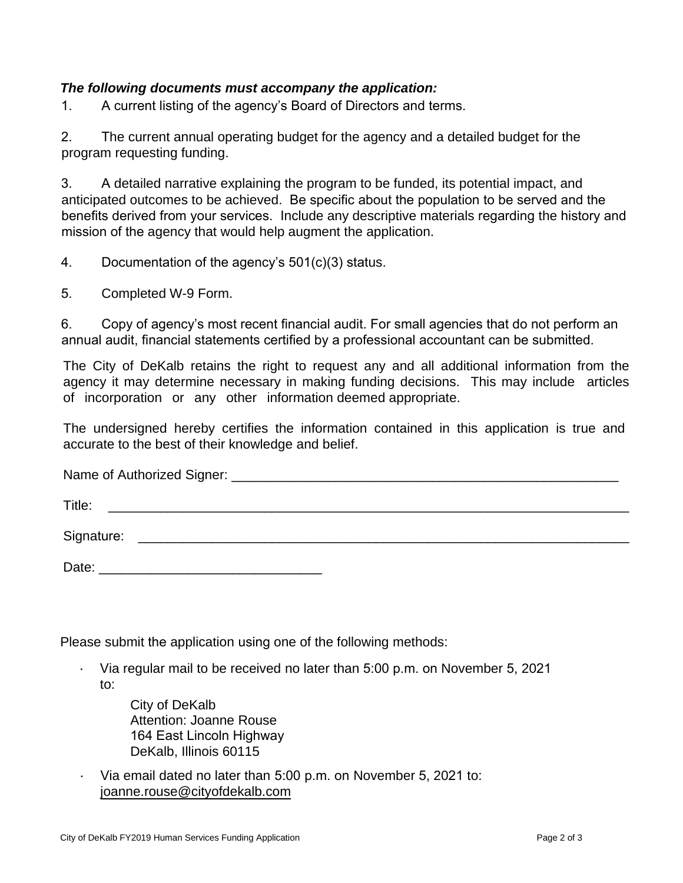## *The following documents must accompany the application:*

1. A current listing of the agency's Board of Directors and terms.

2. The current annual operating budget for the agency and a detailed budget for the program requesting funding.

3. A detailed narrative explaining the program to be funded, its potential impact, and anticipated outcomes to be achieved. Be specific about the population to be served and the benefits derived from your services. Include any descriptive materials regarding the history and mission of the agency that would help augment the application.

4. Documentation of the agency's 501(c)(3) status.

5. Completed W-9 Form.

6. Copy of agency's most recent financial audit. For small agencies that do not perform an annual audit, financial statements certified by a professional accountant can be submitted.

The City of DeKalb retains the right to request any and all additional information from the agency it may determine necessary in making funding decisions. This may include articles of incorporation or any other information deemed appropriate.

The undersigned hereby certifies the information contained in this application is true and accurate to the best of their knowledge and belief.

Name of Authorized Signer: \_\_\_\_\_\_\_\_\_\_\_\_\_\_\_\_\_\_\_\_\_\_\_\_\_\_\_\_\_\_\_\_\_\_\_\_\_\_\_\_\_\_\_\_\_\_\_\_\_\_\_\_

Title: \_\_\_\_\_\_\_\_\_\_\_\_\_\_\_\_\_\_\_\_\_\_\_\_\_\_\_\_\_\_\_\_\_\_\_\_\_\_\_\_\_\_\_\_\_\_\_\_\_\_\_\_\_\_\_\_\_\_\_\_\_\_\_\_\_\_\_\_\_\_

Signature: \_\_\_\_\_\_\_\_\_\_\_\_\_\_\_\_\_\_\_\_\_\_\_\_\_\_\_\_\_\_\_\_\_\_\_\_\_\_\_\_\_\_\_\_\_\_\_\_\_\_\_\_\_\_\_\_\_\_\_\_\_\_\_\_\_\_

Date: \_\_\_\_\_\_\_\_\_\_\_\_\_\_\_\_\_\_\_\_\_\_\_\_\_\_\_\_\_\_

Please submit the application using one of the following methods:

- Via regular mail to be received no later than 5:00 p.m. on November 5, 2021 to:
	- City of DeKalb Attention: Joanne Rouse 164 East Lincoln Highway DeKalb, Illinois 60115
- Via email dated no later than 5:00 p.m. on November 5, 2021 to: joanne.rouse@cityofdekalb.com